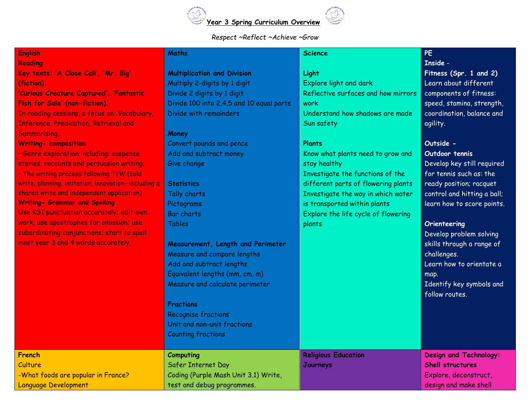

### *Respect ~Reflect ~Achieve ~Grow*

#### **English Reading**

**Key texts: 'A Close Call', 'Mr. Big' (fiction).**

**'Curious Creature Captured', 'Fantastic Fish for Sale' (non-fiction).** In reading sessions, a focus on: Vocabulary, Inference, Predication, Retrieval and Summarising.

**Writing- composition** 

• Genre exploration including: suspense stories, recounts and persuasion writing. • The writing process following TfW (cold write, planning, imitation, innovation- including a shared write and independent application) **Writing- Grammar and Spelling**  Use KS1 punctuation accurately; edit own work, use apostrophes for omission; use subordinating conjunctions; start to spell

most year 3 and 4 words accurately.

# **Multiplication and Division**

Multiply 2-digits by 1 digit Divide 2 digits by 1 digit Divide 100 into 2,4,5 and 10 equal parts Divide with remainders

### **Money**

**Maths**

Convert pounds and pence Add and subtract money Give change

# **Statistics**

Tally charts Pictog Bar c Table

### **Meas** Meas Add a

### **Fractions**

test d

### **French Culture** -What foods are popular in France? Language Development

# **Science**

### **Light**

Explore light and dark Reflective surfaces and how mirrors work Understand how shadows are made Sun safety

### **Plants**

Know what plants need to grow and stay healthy Investigate the functions of the different parts of flowering plants Investigate the way in which water is transported within plants Explore the life cycle of flowering plants

# **PE**

### **Inside** -

**Fitness (Spr. 1 and 2)** Learn about different components of fitness: speed, stamina, strength, coordination, balance and agility.

## **Outside -**

### **Outdoor tennis**

Develop key still required for tennis such as: the ready position; racquet control and hitting a ball; learn how to score points.

| Pictograms                           | is transported within plants        | learn how to score points.                 |
|--------------------------------------|-------------------------------------|--------------------------------------------|
| <b>Bar charts</b>                    | Explore the life cycle of flowering |                                            |
| <b>Tables</b>                        | plants                              | Orienteering<br>Develop problem solving    |
| Measurement, Length and Perimeter    |                                     | skills through a range of                  |
| Measure and compare lengths          |                                     | challenges.                                |
| Add and subtract lengths             |                                     | Learn how to orientate a                   |
| Equivalent lengths (mm, cm, m)       |                                     | map.                                       |
| Measure and calculate perimeter      |                                     | Identify key symbols and<br>follow routes. |
| <b>Fractions</b>                     |                                     |                                            |
| <b>Recognise fractions</b>           |                                     |                                            |
| Unit and non-unit fractions          |                                     |                                            |
| <b>Counting fractions</b>            |                                     |                                            |
| Computing                            | <b>Religious Education</b>          | <b>Design and Technology:</b>              |
| Safer Internet Day                   | Journeys                            | <b>Shell structures</b>                    |
| Coding (Purple Mash Unit 3.1) Write, |                                     | Explore, deconstruct,                      |
| test and debug programmes.           |                                     | design and make shell                      |